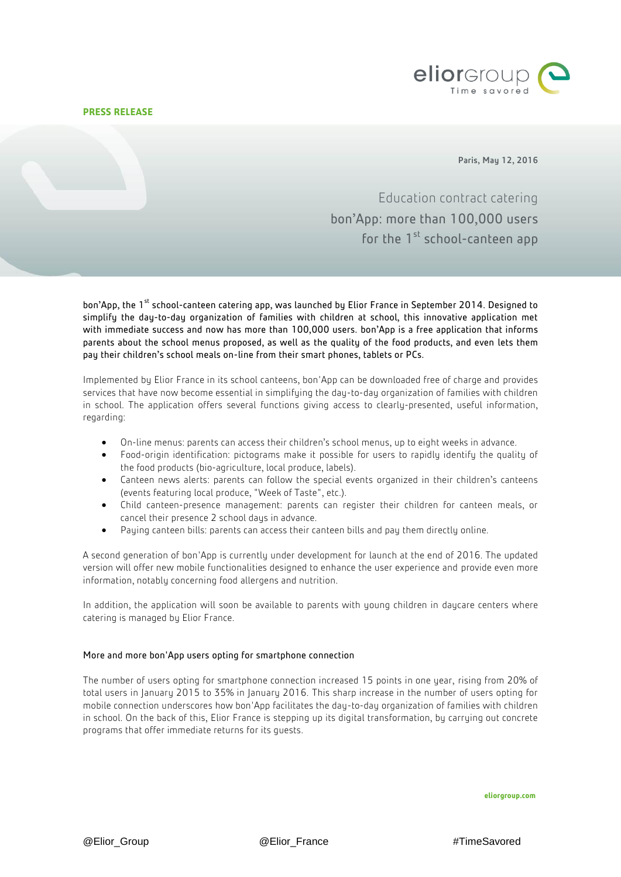## **PRESS RELEASE**



Paris, May 12, 2016

Education contract catering bon'App: more than 100,000 users for the 1<sup>st</sup> school-canteen app

bon'App, the 1<sup>st</sup> school-canteen catering app, was launched by Elior France in September 2014. Designed to simplify the day-to-day organization of families with children at school, this innovative application met with immediate success and now has more than 100,000 users. bon'App is a free application that informs parents about the school menus proposed, as well as the quality of the food products, and even lets them pay their children's school meals on-line from their smart phones, tablets or PCs.

Implemented by Elior France in its school canteens, bon'App can be downloaded free of charge and provides services that have now become essential in simplifying the day-to-day organization of families with children in school. The application offers several functions giving access to clearly-presented, useful information, regarding:

- On-line menus: parents can access their children's school menus, up to eight weeks in advance.
- Food-origin identification: pictograms make it possible for users to rapidly identify the quality of the food products (bio-agriculture, local produce, labels).
- Canteen news alerts: parents can follow the special events organized in their children's canteens (events featuring local produce, "Week of Taste", etc.).
- Child canteen-presence management: parents can register their children for canteen meals, or cancel their presence 2 school days in advance.
- Paying canteen bills: parents can access their canteen bills and pay them directly online.

A second generation of bon'App is currently under development for launch at the end of 2016. The updated version will offer new mobile functionalities designed to enhance the user experience and provide even more information, notably concerning food allergens and nutrition.

In addition, the application will soon be available to parents with young children in daycare centers where catering is managed by Elior France.

## More and more bon'App users opting for smartphone connection

The number of users opting for smartphone connection increased 15 points in one year, rising from 20% of total users in January 2015 to 35% in January 2016. This sharp increase in the number of users opting for mobile connection underscores how bon'App facilitates the day-to-day organization of families with children in school. On the back of this, Elior France is stepping up its digital transformation, by carrying out concrete programs that offer immediate returns for its guests.

**eliorgroup.com**